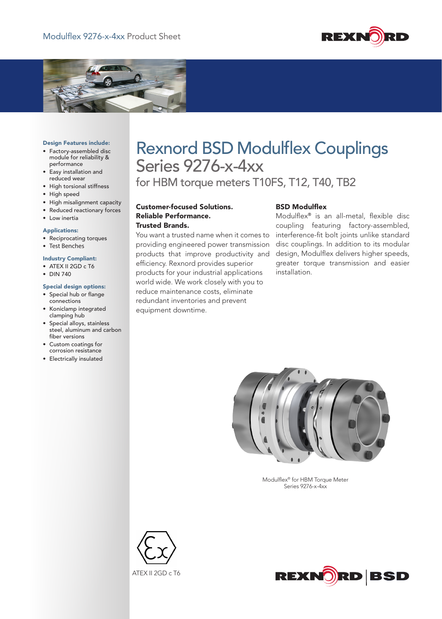



#### Design Features include:

- • Factory-assembled disc module for reliability & performance
- • Easy installation and reduced wear
- • High torsional stiffness
- High speed
- • High misalignment capacity
- • Reduced reactionary forces

## • Low inertia

## Applications:

• Reciprocating torques

# • Test Benches

- Industry Compliant:
- ATEX II 2GD c T6
- • DIN 740

### Special design options:

- • Special hub or flange connections
- • Koniclamp integrated clamping hub
- • Special alloys, stainless steel, aluminum and carbon fiber versions
- • Custom coatings for corrosion resistance
- • Electrically insulated

# Rexnord BSD Modulflex Couplings Series 9276-x-4xx

for HBM torque meters T10FS, T12, T40, TB2

Customer-focused Solutions. Reliable Performance. Trusted Brands.

You want a trusted name when it comes to providing engineered power transmission products that improve productivity and efficiency. Rexnord provides superior products for your industrial applications world wide. We work closely with you to reduce maintenance costs, eliminate redundant inventories and prevent equipment downtime.

## BSD Modulflex

Modulflex® is an all-metal, flexible disc coupling featuring factory-assembled, interference-fit bolt joints unlike standard disc couplings. In addition to its modular design, Modulflex delivers higher speeds, greater torque transmission and easier installation.



Modulflex® for HBM Torque Meter Series 9276-x-4xx



ATEX II 2GD c T6

![](_page_0_Picture_33.jpeg)